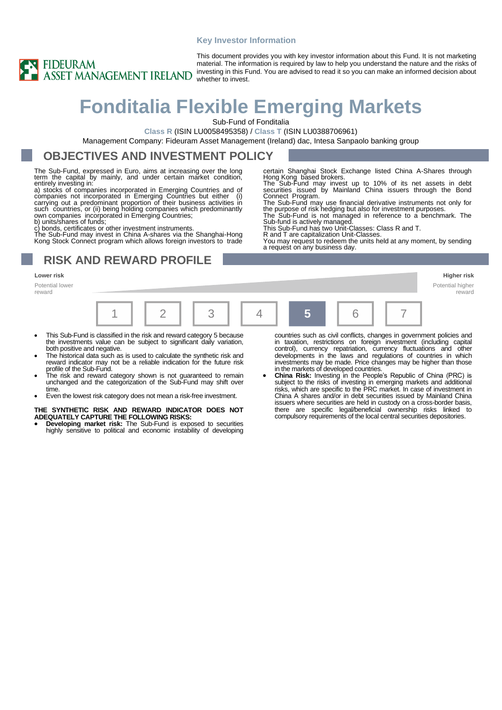#### **Key Investor Information**



This document provides you with key investor information about this Fund. It is not marketing material. The information is required by law to help you understand the nature and the risks of investing in this Fund. You are advised to read it so you can make an informed decision about

# **Fonditalia Flexible Emerging Markets**

Sub-Fund of Fonditalia

**Class R** (ISIN LU0058495358) / **Class T** (ISIN LU0388706961)

Management Company: Fideuram Asset Management (Ireland) dac, Intesa Sanpaolo banking group

### **OBJECTIVES AND INVESTMENT POLICY**

The Sub-Fund, expressed in Euro, aims at increasing over the long term the capital by mainly, and under certain market condition, entirely investing in:

a) stocks of companies incorporated in Emerging Countries and of companies not incorporated in Emerging Countries but either (i) carrying out a predominant proportion of their business activities in such čountries, or (ii) being holding companies which predominantly<br>own companies incorporated in Emerging Countries;

b) units/shares of funds;

c) bonds, certificates or other investment instruments. The Sub-Fund may invest in China A-shares via the Shanghai-Hong

Kong Stock Connect program which allows foreign investors to trade

# **RISK AND REWARD PROFILE**

#### **Lower risk Higher risk**

Potential lower reward



- This Sub-Fund is classified in the risk and reward category 5 because the investments value can be subject to significant daily variation, both positive and negative.
- The historical data such as is used to calculate the synthetic risk and reward indicator may not be a reliable indication for the future risk profile of the Sub-Fund.
- The risk and reward category shown is not guaranteed to remain unchanged and the categorization of the Sub-Fund may shift over time.
- Even the lowest risk category does not mean a risk-free investment.

#### **THE SYNTHETIC RISK AND REWARD INDICATOR DOES NOT ADEQUATELY CAPTURE THE FOLLOWING RISKS:**

• **Developing market risk:** The Sub-Fund is exposed to securities highly sensitive to political and economic instability of developing countries such as civil conflicts, changes in government policies and in taxation, restrictions on foreign investment (including capital control), currency repatriation, currency fluctuations and other developments in the laws and regulations of countries in which investments may be made. Price changes may be higher than those in the markets of developed countries.

certain Shanghai Stock Exchange listed China A-Shares through

Hong Kong based brokers. The Sub-Fund may invest up to 10% of its net assets in debt securities issued by Mainland China issuers through the Bond Connect Program. The Sub-Fund may use financial derivative instruments not only for the purpose of risk hedging but also for investment purposes. The Sub-Fund is not managed in reference to a benchmark. The

You may request to redeem the units held at any moment, by sending

Sub-fund is actively managed. This Sub-Fund has two Unit-Classes: Class R and T. R and T are capitalization Unit-Classes.

a request on any business day.

• **China Risk:** Investing in the People's Republic of China (PRC) is subject to the risks of investing in emerging markets and additional risks, which are specific to the PRC market. In case of investment in China A shares and/or in debt securities issued by Mainland China issuers where securities are held in custody on a cross-border basis, there are specific legal/beneficial ownership risks linked to compulsory requirements of the local central securities depositories.

Potential higher reward